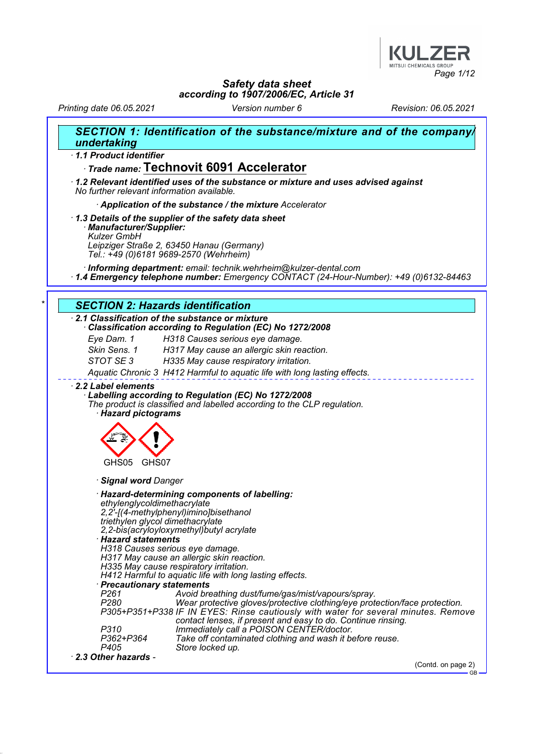

Printing date 06.05.2021 Version number 6 Revision: 06.05.2021

| undertaking                                                                                                                                                                                                                                                                                                                                                                                                 | SECTION 1: Identification of the substance/mixture and of the company/                                                                                                                                                                                                                                                                                                                                                                                                                                                        |
|-------------------------------------------------------------------------------------------------------------------------------------------------------------------------------------------------------------------------------------------------------------------------------------------------------------------------------------------------------------------------------------------------------------|-------------------------------------------------------------------------------------------------------------------------------------------------------------------------------------------------------------------------------------------------------------------------------------------------------------------------------------------------------------------------------------------------------------------------------------------------------------------------------------------------------------------------------|
| 1.1 Product identifier                                                                                                                                                                                                                                                                                                                                                                                      |                                                                                                                                                                                                                                                                                                                                                                                                                                                                                                                               |
|                                                                                                                                                                                                                                                                                                                                                                                                             | Trade name: Technovit 6091 Accelerator                                                                                                                                                                                                                                                                                                                                                                                                                                                                                        |
| No further relevant information available.                                                                                                                                                                                                                                                                                                                                                                  | $\cdot$ 1.2 Relevant identified uses of the substance or mixture and uses advised against                                                                                                                                                                                                                                                                                                                                                                                                                                     |
|                                                                                                                                                                                                                                                                                                                                                                                                             | Application of the substance / the mixture Accelerator                                                                                                                                                                                                                                                                                                                                                                                                                                                                        |
| 1.3 Details of the supplier of the safety data sheet<br>· Manufacturer/Supplier:<br><b>Kulzer GmbH</b><br>Leipziger Straße 2, 63450 Hanau (Germany)<br>Tel.: +49 (0)6181 9689-2570 (Wehrheim)                                                                                                                                                                                                               |                                                                                                                                                                                                                                                                                                                                                                                                                                                                                                                               |
|                                                                                                                                                                                                                                                                                                                                                                                                             | Informing department: email: technik.wehrheim@kulzer-dental.com<br>1.4 Emergency telephone number: Emergency CONTACT (24-Hour-Number): +49 (0)6132-84463                                                                                                                                                                                                                                                                                                                                                                      |
| <b>SECTION 2: Hazards identification</b>                                                                                                                                                                                                                                                                                                                                                                    |                                                                                                                                                                                                                                                                                                                                                                                                                                                                                                                               |
| 2.1 Classification of the substance or mixture                                                                                                                                                                                                                                                                                                                                                              |                                                                                                                                                                                                                                                                                                                                                                                                                                                                                                                               |
|                                                                                                                                                                                                                                                                                                                                                                                                             | Classification according to Regulation (EC) No 1272/2008                                                                                                                                                                                                                                                                                                                                                                                                                                                                      |
| Eye Dam. 1                                                                                                                                                                                                                                                                                                                                                                                                  | H318 Causes serious eye damage.                                                                                                                                                                                                                                                                                                                                                                                                                                                                                               |
| Skin Sens. 1<br>STOT SE3                                                                                                                                                                                                                                                                                                                                                                                    | H317 May cause an allergic skin reaction.                                                                                                                                                                                                                                                                                                                                                                                                                                                                                     |
|                                                                                                                                                                                                                                                                                                                                                                                                             | H335 May cause respiratory irritation.                                                                                                                                                                                                                                                                                                                                                                                                                                                                                        |
|                                                                                                                                                                                                                                                                                                                                                                                                             | Aquatic Chronic 3 H412 Harmful to aquatic life with long lasting effects.                                                                                                                                                                                                                                                                                                                                                                                                                                                     |
| · Hazard pictograms                                                                                                                                                                                                                                                                                                                                                                                         | Labelling according to Regulation (EC) No 1272/2008<br>The product is classified and labelled according to the CLP regulation.                                                                                                                                                                                                                                                                                                                                                                                                |
| GHS05<br>GHS07                                                                                                                                                                                                                                                                                                                                                                                              |                                                                                                                                                                                                                                                                                                                                                                                                                                                                                                                               |
| · Signal word Danger                                                                                                                                                                                                                                                                                                                                                                                        |                                                                                                                                                                                                                                                                                                                                                                                                                                                                                                                               |
| ethylenglycoldimethacrylate<br>2, 2'-[(4-methylphenyl)imino]bisethanol<br>triethylen glycol dimethacrylate<br>2,2-bis(acryloyloxymethyl) butyl acrylate<br>· Hazard statements<br>H318 Causes serious eye damage.<br>H317 May cause an allergic skin reaction.<br>H335 May cause respiratory irritation.<br>· Precautionary statements<br>P <sub>261</sub><br>P <sub>280</sub><br>P310<br>P362+P364<br>P405 | · Hazard-determining components of labelling:<br>H412 Harmful to aquatic life with long lasting effects.<br>Avoid breathing dust/fume/gas/mist/vapours/spray.<br>Wear protective gloves/protective clothing/eye protection/face protection.<br>P305+P351+P338 IF IN EYES: Rinse cautiously with water for several minutes. Remove<br>contact lenses, if present and easy to do. Continue rinsing.<br>Immediately call a POISON CENTER/doctor.<br>Take off contaminated clothing and wash it before reuse.<br>Store locked up. |
| 2.3 Other hazards -                                                                                                                                                                                                                                                                                                                                                                                         |                                                                                                                                                                                                                                                                                                                                                                                                                                                                                                                               |
|                                                                                                                                                                                                                                                                                                                                                                                                             | (Contd. on page 2)<br><b>GB</b>                                                                                                                                                                                                                                                                                                                                                                                                                                                                                               |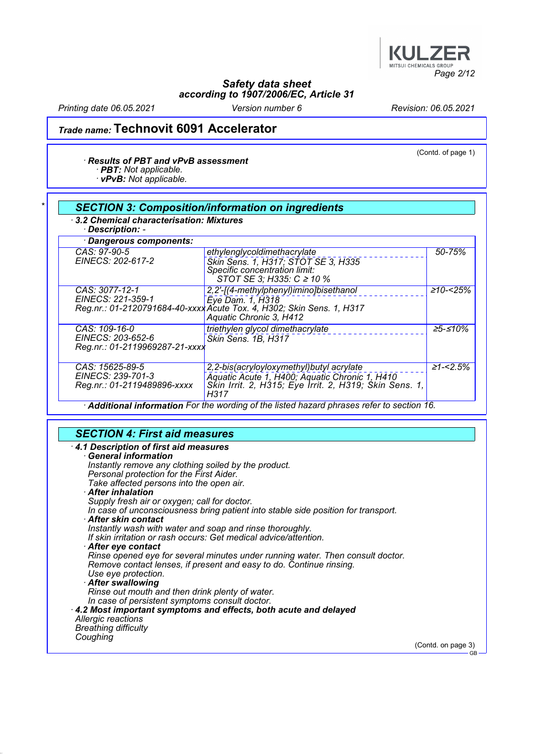

Printing date 06.05.2021 Version number 6 Revision: 06.05.2021

## Trade name: Technovit 6091 Accelerator

#### · Results of PBT and vPvB assessment

· PBT: Not applicable.

· vPvB: Not applicable.

#### **SECTION 3: Composition/information on ingredients** · 3.2 Chemical characterisation: Mixtures · Description: - · Dangerous components: CAS: 97-90-5 EINECS: 202-617-2 ethylenglycoldimethacrylate Skin Sens. 1, H317; STOT SE 3, H335 Specific concentration limit: STOT SE 3; H335: C ≥ 10 % 50-75% CAS: 3077-12-1 EINECS: 221-359-1 Reg.nr.: 01-2120791684-40-xxxx 2,2'-[(4-methylphenyl)imino]bisethanol Eye Dam. 1, H318 Acute Tox. 4, H302; Skin Sens. 1, H317 Aquatic Chronic 3, H412 ≥10-<25% CAS: 109-16-0 EINECS: 203-652-6 Reg.nr.: 01-2119969287-21-xxxx triethylen glycol dimethacrylate Skin Sens. 1B, H317 ≥5-≤10% CAS: 15625-89-5 EINECS: 239-701-3 Reg.nr.: 01-2119489896-xxxx 2,2-bis(acryloyloxymethyl)butyl acrylate Aquatic Acute 1, H400; Aquatic Chronic 1, H410 Skin Irrit. 2, H315; Eye Irrit. 2, H319; Skin Sens. 1, H317  $\geq 1 - 2.5\%$ Additional information For the wording of the listed hazard phrases refer to section 16.

### SECTION 4: First aid measures

| 4.1 Description of first aid measures                                             |                    |
|-----------------------------------------------------------------------------------|--------------------|
| <b>General information</b>                                                        |                    |
| Instantly remove any clothing soiled by the product.                              |                    |
|                                                                                   |                    |
| Personal protection for the First Aider.                                          |                    |
| Take affected persons into the open air.                                          |                    |
| · After inhalation                                                                |                    |
| Supply fresh air or oxygen; call for doctor.                                      |                    |
| In case of unconsciousness bring patient into stable side position for transport. |                    |
| · After skin contact                                                              |                    |
|                                                                                   |                    |
| Instantly wash with water and soap and rinse thoroughly.                          |                    |
| If skin irritation or rash occurs: Get medical advice/attention.                  |                    |
| $\cdot$ After eye contact                                                         |                    |
| Rinse opened eye for several minutes under running water. Then consult doctor.    |                    |
| Remove contact lenses, if present and easy to do. Continue rinsing.               |                    |
|                                                                                   |                    |
| Use eye protection.                                                               |                    |
| After swallowing                                                                  |                    |
| Rinse out mouth and then drink plenty of water.                                   |                    |
| In case of persistent symptoms consult doctor.                                    |                    |
| 4.2 Most important symptoms and effects, both acute and delayed                   |                    |
| Allergic reactions                                                                |                    |
|                                                                                   |                    |
| <b>Breathing difficulty</b>                                                       |                    |
| Coughing                                                                          |                    |
|                                                                                   | (Contd. on page 3) |
|                                                                                   | $-GB$              |

(Contd. of page 1)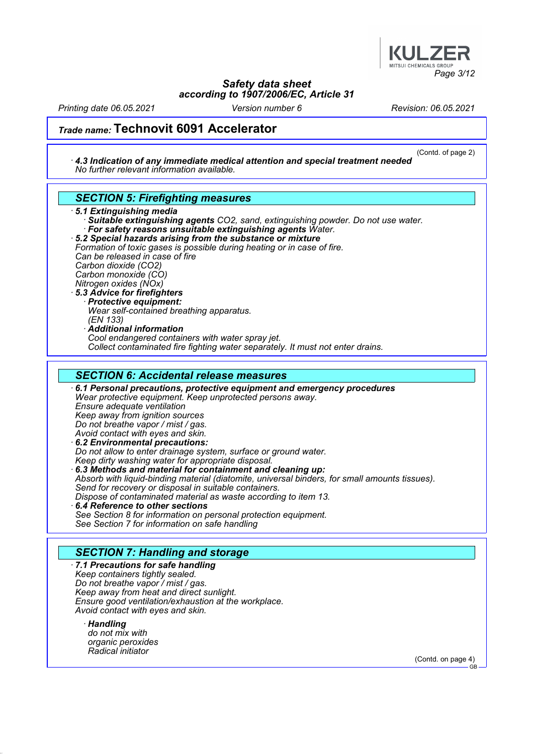

Printing date 06.05.2021 Version number 6 Revision: 06.05.2021

(Contd. of page 2)

### Trade name: Technovit 6091 Accelerator

· 4.3 Indication of any immediate medical attention and special treatment needed No further relevant information available.

### SECTION 5: Firefighting measures

#### · 5.1 Extinguishing media

Suitable extinguishing agents CO2, sand, extinguishing powder. Do not use water. For safety reasons unsuitable extinguishing agents Water.

· 5.2 Special hazards arising from the substance or mixture Formation of toxic gases is possible during heating or in case of fire.

Can be released in case of fire Carbon dioxide (CO2) Carbon monoxide (CO)

Nitrogen oxides (NOx)

### 5.3 Advice for firefighters

Protective equipment: Wear self-contained breathing apparatus.

(EN 133)

· Additional information

Cool endangered containers with water spray jet.

Collect contaminated fire fighting water separately. It must not enter drains.

### SECTION 6: Accidental release measures

· 6.1 Personal precautions, protective equipment and emergency procedures Wear protective equipment. Keep unprotected persons away. Ensure adequate ventilation Keep away from ignition sources Do not breathe vapor / mist / gas. Avoid contact with eyes and skin. · 6.2 Environmental precautions: Do not allow to enter drainage system, surface or ground water. Keep dirty washing water for appropriate disposal.

· 6.3 Methods and material for containment and cleaning up: Absorb with liquid-binding material (diatomite, universal binders, for small amounts tissues). Send for recovery or disposal in suitable containers. Dispose of contaminated material as waste according to item 13. 6.4 Reference to other sections

See Section 8 for information on personal protection equipment. See Section 7 for information on safe handling

### SECTION 7: Handling and storage

· 7.1 Precautions for safe handling Keep containers tightly sealed. Do not breathe vapor / mist / gas. Keep away from heat and direct sunlight. Ensure good ventilation/exhaustion at the workplace. Avoid contact with eyes and skin.

· Handling do not mix with organic peroxides Radical initiator

(Contd. on page 4)

**GB**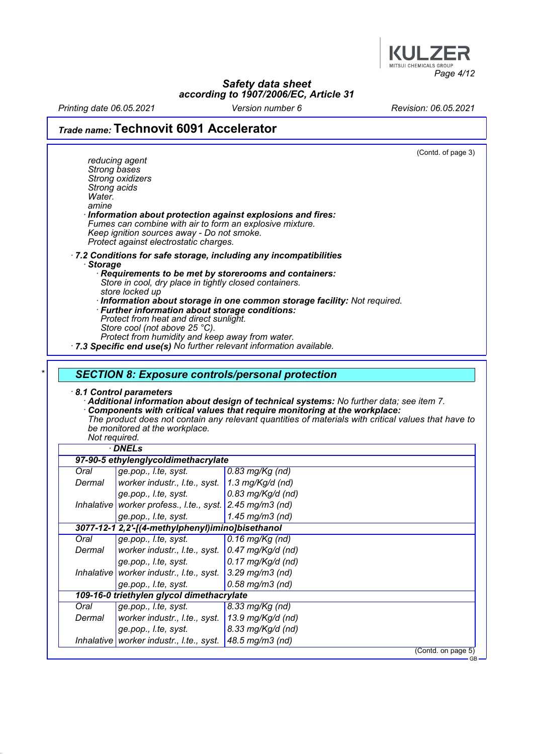

Printing date 06.05.2021 Version number 6 Revision: 06.05.2021

# Trade name: Technovit 6091 Accelerator

| <b>Strong bases</b><br>Strong acids<br>Water.<br>amine | reducing agent<br>Strong oxidizers<br>Fumes can combine with air to form an explosive mixture.<br>Keep ignition sources away - Do not smoke.<br>Protect against electrostatic charges.                                                                     | (Contd. of page 3)<br>Information about protection against explosions and fires:                                                                                                                                                                                                                                                        |
|--------------------------------------------------------|------------------------------------------------------------------------------------------------------------------------------------------------------------------------------------------------------------------------------------------------------------|-----------------------------------------------------------------------------------------------------------------------------------------------------------------------------------------------------------------------------------------------------------------------------------------------------------------------------------------|
| <b>Storage</b>                                         | Store in cool, dry place in tightly closed containers.<br>store locked up<br>· Further information about storage conditions:<br>Protect from heat and direct sunlight.<br>Store cool (not above 25 °C).<br>Protect from humidity and keep away from water. | · 7.2 Conditions for safe storage, including any incompatibilities<br>Requirements to be met by storerooms and containers:<br>· Information about storage in one common storage facility: Not required.<br>· 7.3 Specific end use(s) No further relevant information available.                                                         |
| Not required.                                          | 8.1 Control parameters<br>be monitored at the workplace.                                                                                                                                                                                                   | <b>SECTION 8: Exposure controls/personal protection</b><br>· Additional information about design of technical systems: No further data; see item 7.<br>Components with critical values that require monitoring at the workplace:<br>The product does not contain any relevant quantities of materials with critical values that have to |
|                                                        | · DNELs                                                                                                                                                                                                                                                    |                                                                                                                                                                                                                                                                                                                                         |
|                                                        | 97-90-5 ethylenglycoldimethacrylate                                                                                                                                                                                                                        |                                                                                                                                                                                                                                                                                                                                         |
| Oral                                                   | ge.pop., l.te, syst.                                                                                                                                                                                                                                       | $0.83$ mg/Kg (nd)                                                                                                                                                                                                                                                                                                                       |
| Dermal                                                 | worker industr., I.te., syst.                                                                                                                                                                                                                              | 1.3 mg/Kg/d (nd)                                                                                                                                                                                                                                                                                                                        |
|                                                        | ge.pop., l.te, syst.                                                                                                                                                                                                                                       | $0.83$ mg/Kg/d (nd)                                                                                                                                                                                                                                                                                                                     |
|                                                        | Inhalative worker profess., I.te., syst. 2.45 mg/m3 (nd)                                                                                                                                                                                                   |                                                                                                                                                                                                                                                                                                                                         |
|                                                        | ge.pop., l.te, syst.                                                                                                                                                                                                                                       | 1.45 mg/m3 (nd)                                                                                                                                                                                                                                                                                                                         |
|                                                        | 3077-12-1 2,2'-[(4-methylphenyl)imino]bisethanol                                                                                                                                                                                                           |                                                                                                                                                                                                                                                                                                                                         |
| Oral                                                   | ge.pop., I.te, syst.                                                                                                                                                                                                                                       | $0.16$ mg/Kg (nd)                                                                                                                                                                                                                                                                                                                       |
| Dermal                                                 | worker industr., I.te., syst.                                                                                                                                                                                                                              | 0.47 mg/Kg/d (nd)                                                                                                                                                                                                                                                                                                                       |
|                                                        | ge.pop., l.te, syst.                                                                                                                                                                                                                                       | $0.17$ mg/Kg/d (nd)                                                                                                                                                                                                                                                                                                                     |
| Inhalative                                             | worker industr., I.te., syst.                                                                                                                                                                                                                              | $3.29$ mg/m $3$ (nd)                                                                                                                                                                                                                                                                                                                    |
|                                                        |                                                                                                                                                                                                                                                            | $0.58$ mg/m $3$ (nd)                                                                                                                                                                                                                                                                                                                    |
|                                                        |                                                                                                                                                                                                                                                            |                                                                                                                                                                                                                                                                                                                                         |
|                                                        | ge.pop., l.te, syst.                                                                                                                                                                                                                                       |                                                                                                                                                                                                                                                                                                                                         |
|                                                        | 109-16-0 triethylen glycol dimethacrylate                                                                                                                                                                                                                  |                                                                                                                                                                                                                                                                                                                                         |
| Oral                                                   | ge.pop., l.te, syst.                                                                                                                                                                                                                                       | 8.33 mg/Kg (nd)                                                                                                                                                                                                                                                                                                                         |
| Dermal                                                 | worker industr., I.te., syst.                                                                                                                                                                                                                              | 13.9 mg/Kg/d (nd)                                                                                                                                                                                                                                                                                                                       |
|                                                        | ge.pop., l.te, syst.                                                                                                                                                                                                                                       | 8.33 mg/Kg/d (nd)                                                                                                                                                                                                                                                                                                                       |
|                                                        | Inhalative worker industr., I.te., syst.                                                                                                                                                                                                                   | 48.5 mg/m3 (nd)<br>(Contd. on page 5)                                                                                                                                                                                                                                                                                                   |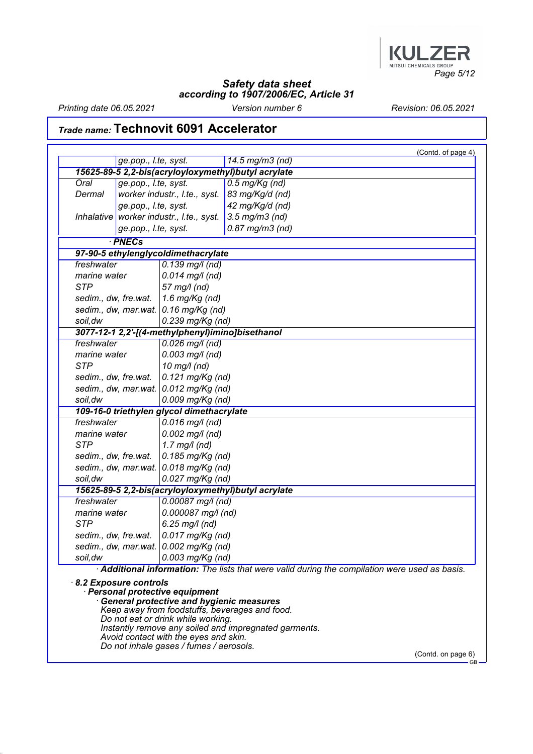

Printing date 06.05.2021 Version number 6 Revision: 06.05.2021

## Trade name: Technovit 6091 Accelerator

|                                                     |                       |                                                                                                                                                                                                              | (Contd. of page 4)                                                                                      |
|-----------------------------------------------------|-----------------------|--------------------------------------------------------------------------------------------------------------------------------------------------------------------------------------------------------------|---------------------------------------------------------------------------------------------------------|
|                                                     | ge.pop., l.te, syst.  |                                                                                                                                                                                                              | 14.5 mg/m3 (nd)                                                                                         |
| 15625-89-5 2,2-bis(acryloyloxymethyl)butyl acrylate |                       |                                                                                                                                                                                                              |                                                                                                         |
| Oral                                                | ge.pop., l.te, syst.  |                                                                                                                                                                                                              | $0.5$ mg/Kg (nd)                                                                                        |
| Dermal                                              |                       | worker industr., I.te., syst.                                                                                                                                                                                | 83 mg/Kg/d (nd)                                                                                         |
|                                                     | ge.pop., l.te, syst.  |                                                                                                                                                                                                              | 42 mg/Kg/d (nd)                                                                                         |
| <b>Inhalative</b>                                   |                       | worker industr., I.te., syst.                                                                                                                                                                                | $3.5$ mg/m $3$ (nd)                                                                                     |
|                                                     | ge.pop., l.te, syst.  |                                                                                                                                                                                                              | $0.87$ mg/m $3$ (nd)                                                                                    |
|                                                     | · PNECs               |                                                                                                                                                                                                              |                                                                                                         |
|                                                     |                       | 97-90-5 ethylenglycoldimethacrylate                                                                                                                                                                          |                                                                                                         |
| freshwater                                          |                       | $0.139$ mg/l (nd)                                                                                                                                                                                            |                                                                                                         |
| marine water                                        |                       | $0.014$ mg/l (nd)                                                                                                                                                                                            |                                                                                                         |
| <b>STP</b>                                          |                       | 57 mg/l (nd)                                                                                                                                                                                                 |                                                                                                         |
| sedim., dw, fre.wat.                                |                       | 1.6 mg/ $Kg$ (nd)                                                                                                                                                                                            |                                                                                                         |
|                                                     |                       | sedim., dw, mar.wat. $\vert$ 0.16 mg/Kg (nd)                                                                                                                                                                 |                                                                                                         |
| soil, dw                                            |                       | $0.239$ mg/Kg (nd)                                                                                                                                                                                           |                                                                                                         |
|                                                     |                       | 3077-12-1 2,2'-[(4-methylphenyl)imino]bisethanol                                                                                                                                                             |                                                                                                         |
| freshwater                                          |                       | $0.026$ mg/l (nd)                                                                                                                                                                                            |                                                                                                         |
| marine water                                        |                       | $0.003$ mg/l (nd)                                                                                                                                                                                            |                                                                                                         |
| <b>STP</b>                                          |                       | 10 mg/l (nd)                                                                                                                                                                                                 |                                                                                                         |
| sedim., dw, fre.wat.                                |                       | $0.121$ mg/Kg (nd)                                                                                                                                                                                           |                                                                                                         |
|                                                     |                       | sedim., dw, mar.wat. $0.012$ mg/Kg (nd)                                                                                                                                                                      |                                                                                                         |
| soil, dw                                            |                       | $0.009$ mg/Kg (nd)                                                                                                                                                                                           |                                                                                                         |
|                                                     |                       | 109-16-0 triethylen glycol dimethacrylate                                                                                                                                                                    |                                                                                                         |
| freshwater                                          |                       | $0.016$ mg/l (nd)                                                                                                                                                                                            |                                                                                                         |
| marine water                                        |                       | $0.002$ mg/l (nd)                                                                                                                                                                                            |                                                                                                         |
| <b>STP</b>                                          |                       | $1.7$ mg/l (nd)                                                                                                                                                                                              |                                                                                                         |
| sedim., dw, fre.wat.                                |                       | 0.185 mg/Kg (nd)                                                                                                                                                                                             |                                                                                                         |
|                                                     |                       | sedim., dw, mar.wat. $0.018$ mg/Kg (nd)                                                                                                                                                                      |                                                                                                         |
| soil, dw                                            |                       | 0.027 mg/Kg (nd)                                                                                                                                                                                             |                                                                                                         |
|                                                     |                       |                                                                                                                                                                                                              | 15625-89-5 2,2-bis(acryloyloxymethyl)butyl acrylate                                                     |
| freshwater                                          |                       | $0.00087$ mg/l (nd)                                                                                                                                                                                          |                                                                                                         |
| marine water                                        |                       | $0.000087$ mg/l (nd)                                                                                                                                                                                         |                                                                                                         |
| <b>STP</b>                                          |                       | $6.25$ mg/l (nd)                                                                                                                                                                                             |                                                                                                         |
| sedim., dw, fre.wat.                                |                       | 0.017 mg/Kg (nd)                                                                                                                                                                                             |                                                                                                         |
|                                                     |                       | sedim., dw, mar.wat. 0.002 mg/Kg (nd)                                                                                                                                                                        |                                                                                                         |
| $0.003$ mg/Kg (nd)<br>soil,dw                       |                       |                                                                                                                                                                                                              |                                                                                                         |
|                                                     |                       |                                                                                                                                                                                                              | Additional information: The lists that were valid during the compilation were used as basis.            |
|                                                     | 8.2 Exposure controls | · Personal protective equipment<br><b>General protective and hygienic measures</b><br>Do not eat or drink while working.<br>Avoid contact with the eyes and skin.<br>Do not inhale gases / fumes / aerosols. | Keep away from foodstuffs, beverages and food.<br>Instantly remove any soiled and impregnated garments. |

(Contd. on page 6)<br>
GB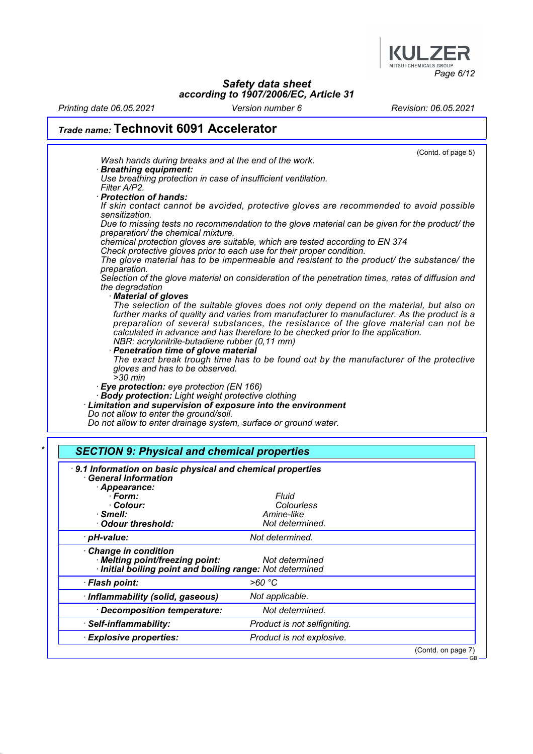

Printing date 06.05.2021 Version number 6 Revision: 06.05.2021

 $-$ GB

# Trade name: Technovit 6091 Accelerator

| <b>SECTION 9: Physical and chemical properties</b>                                                                                                                    |
|-----------------------------------------------------------------------------------------------------------------------------------------------------------------------|
| Do not allow to enter drainage system, surface or ground water.                                                                                                       |
| Do not allow to enter the ground/soil.                                                                                                                                |
| · Body protection: Light weight protective clothing<br>Limitation and supervision of exposure into the environment                                                    |
| · Eye protection: eye protection (EN 166)                                                                                                                             |
| $>30$ min                                                                                                                                                             |
| The exact break trough time has to be found out by the manufacturer of the protective<br>gloves and has to be observed.                                               |
| · Penetration time of glove material                                                                                                                                  |
| NBR: acrylonitrile-butadiene rubber (0,11 mm)                                                                                                                         |
| preparation of several substances, the resistance of the glove material can not be<br>calculated in advance and has therefore to be checked prior to the application. |
| further marks of quality and varies from manufacturer to manufacturer. As the product is a                                                                            |
| · Material of gloves<br>The selection of the suitable gloves does not only depend on the material, but also on                                                        |
| the degradation                                                                                                                                                       |
| Selection of the glove material on consideration of the penetration times, rates of diffusion and                                                                     |
| The glove material has to be impermeable and resistant to the product/ the substance/ the<br>preparation.                                                             |
| Check protective gloves prior to each use for their proper condition.                                                                                                 |
| chemical protection gloves are suitable, which are tested according to EN 374                                                                                         |
| Due to missing tests no recommendation to the glove material can be given for the product/ the<br>preparation/ the chemical mixture.                                  |
| sensitization.                                                                                                                                                        |
| If skin contact cannot be avoided, protective gloves are recommended to avoid possible                                                                                |
| Filter A/P2.<br>· Protection of hands:                                                                                                                                |
| Use breathing protection in case of insufficient ventilation.                                                                                                         |
| Wash hands during breaks and at the end of the work.<br><b>Breathing equipment:</b>                                                                                   |
| (Contd. of page 5)                                                                                                                                                    |

| ווטוויווווווווווווווווווווווסט<br>Appearance:<br>· Form:<br>· Colour:<br>$\cdot$ Smell:<br>· Odour threshold:     | Fluid<br>Colourless<br>Amine-like<br>Not determined. |                    |
|-------------------------------------------------------------------------------------------------------------------|------------------------------------------------------|--------------------|
| · pH-value:                                                                                                       | Not determined.                                      |                    |
| Change in condition<br>· Melting point/freezing point:<br>Initial boiling point and boiling range: Not determined | Not determined                                       |                    |
| · Flash point:                                                                                                    | >60 °C                                               |                    |
| · Inflammability (solid, gaseous)                                                                                 | Not applicable.                                      |                    |
| · Decomposition temperature:                                                                                      | Not determined.                                      |                    |
| · Self-inflammability:                                                                                            | Product is not selfigniting.                         |                    |
| <b>Explosive properties:</b>                                                                                      | Product is not explosive.                            |                    |
|                                                                                                                   |                                                      | (Contd. on page 7) |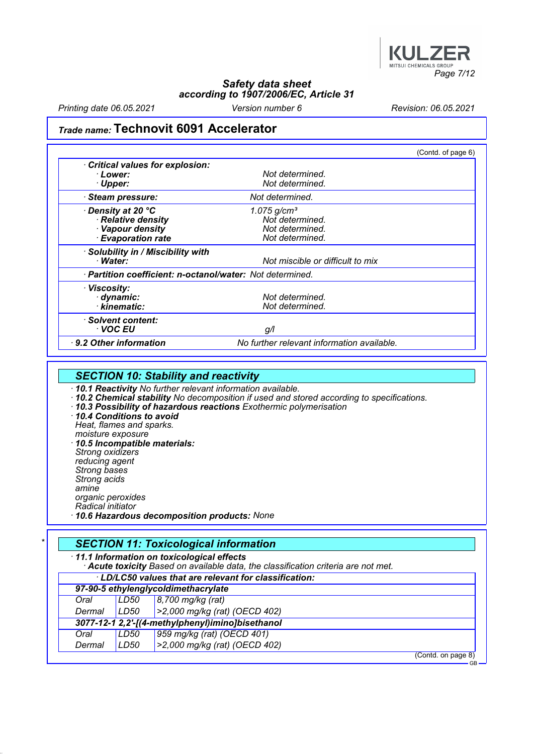

Printing date 06.05.2021 Version number 6 Revision: 06.05.2021

## Trade name: Technovit 6091 Accelerator

|                                                           |                                            | (Contd. of page 6) |
|-----------------------------------------------------------|--------------------------------------------|--------------------|
| Critical values for explosion:                            |                                            |                    |
| · Lower:                                                  | Not determined.                            |                    |
| · Upper:                                                  | Not determined.                            |                    |
| · Steam pressure:                                         | Not determined.                            |                    |
| Density at 20 °C                                          | $1.075$ g/cm <sup>3</sup>                  |                    |
| · Relative density                                        | Not determined.                            |                    |
| · Vapour density                                          | Not determined.                            |                    |
| <b>Evaporation rate</b>                                   | Not determined.                            |                    |
| · Solubility in / Miscibility with                        |                                            |                    |
| · Water:                                                  | Not miscible or difficult to mix           |                    |
| · Partition coefficient: n-octanol/water: Not determined. |                                            |                    |
| · Viscosity:                                              |                                            |                    |
| dynamic:                                                  | Not determined.                            |                    |
| · kinematic:                                              | Not determined.                            |                    |
| · Solvent content:                                        |                                            |                    |
| ∙ VOC EU                                                  | g/l                                        |                    |
| $\cdot$ 9.2 Other information                             | No further relevant information available. |                    |

### **SECTION 10: Stability and reactivity**

· 10.1 Reactivity No further relevant information available.

- · 10.2 Chemical stability No decomposition if used and stored according to specifications.
- · 10.3 Possibility of hazardous reactions Exothermic polymerisation
- · 10.4 Conditions to avoid Heat, flames and sparks. moisture exposure · 10.5 Incompatible materials: Strong oxidizers

reducing agent Strong bases Strong acids amine

organic peroxides

Radical initiator

· 10.6 Hazardous decomposition products: None

|        |                           | · 11.1 Information on toxicological effects<br>· Acute toxicity Based on available data, the classification criteria are not met. |                    |  |
|--------|---------------------------|-----------------------------------------------------------------------------------------------------------------------------------|--------------------|--|
|        |                           | · LD/LC50 values that are relevant for classification:                                                                            |                    |  |
|        |                           | 97-90-5 ethylenglycoldimethacrylate                                                                                               |                    |  |
| Oral   | LD50<br>8,700 mg/kg (rat) |                                                                                                                                   |                    |  |
| Dermal | LD50                      | >2,000 mg/kg (rat) (OECD 402)                                                                                                     |                    |  |
|        |                           | 3077-12-1 2, 2'-[(4-methylphenyl)imino]bisethanol                                                                                 |                    |  |
| Oral   | LD50                      | 959 mg/kg (rat) (OECD 401)                                                                                                        |                    |  |
| Dermal | LD50                      | >2,000 mg/kg (rat) (OECD 402)                                                                                                     |                    |  |
|        |                           |                                                                                                                                   | (Contd. on page 8) |  |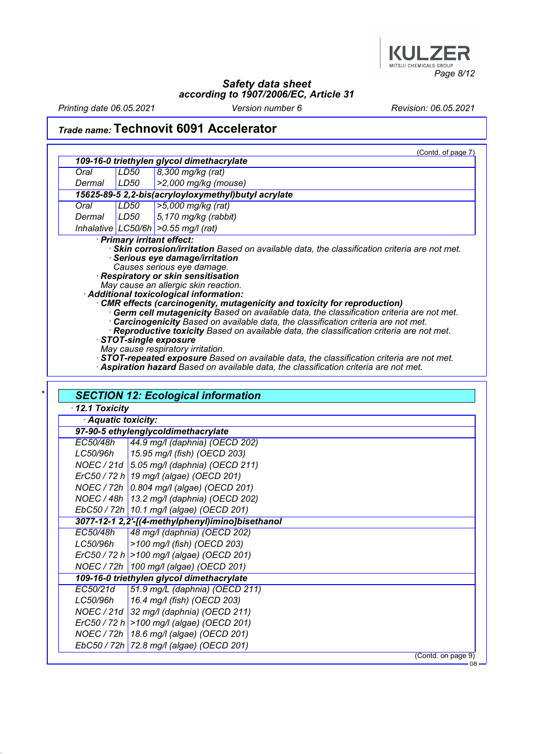

Printing date 06.05.2021 Version number 6 Revision: 06.05.2021

## Trade name: Technovit 6091 Accelerator

ErC50 / 72 h >100 mg/l (algae) (OECD 201) NOEC / 72h 18.6 mg/l (algae) (OECD 201) EbC50 / 72h 72.8 mg/l (algae) (OECD 201)

|               |                   | (Contd. of page 7)                                                                                                                                                                                                                                                                                                                                                                                                                                                                                                                                                                                                                                                                                                                                                                                                                                                                                |
|---------------|-------------------|---------------------------------------------------------------------------------------------------------------------------------------------------------------------------------------------------------------------------------------------------------------------------------------------------------------------------------------------------------------------------------------------------------------------------------------------------------------------------------------------------------------------------------------------------------------------------------------------------------------------------------------------------------------------------------------------------------------------------------------------------------------------------------------------------------------------------------------------------------------------------------------------------|
|               |                   | 109-16-0 triethylen glycol dimethacrylate                                                                                                                                                                                                                                                                                                                                                                                                                                                                                                                                                                                                                                                                                                                                                                                                                                                         |
| Oral          | <b>LD50</b>       | 8,300 mg/kg (rat)                                                                                                                                                                                                                                                                                                                                                                                                                                                                                                                                                                                                                                                                                                                                                                                                                                                                                 |
| Dermal        | LD50              | $>2,000$ mg/kg (mouse)                                                                                                                                                                                                                                                                                                                                                                                                                                                                                                                                                                                                                                                                                                                                                                                                                                                                            |
|               |                   | 15625-89-5 2,2-bis(acryloyloxymethyl)butyl acrylate                                                                                                                                                                                                                                                                                                                                                                                                                                                                                                                                                                                                                                                                                                                                                                                                                                               |
| Oral          | LD50              | >5,000 mg/kg (rat)                                                                                                                                                                                                                                                                                                                                                                                                                                                                                                                                                                                                                                                                                                                                                                                                                                                                                |
| Dermal        | LD50              | 5,170 mg/kg (rabbit)                                                                                                                                                                                                                                                                                                                                                                                                                                                                                                                                                                                                                                                                                                                                                                                                                                                                              |
|               |                   | Inhalative LC50/6h $>0.55$ mg/l (rat)<br>· Primary irritant effect:                                                                                                                                                                                                                                                                                                                                                                                                                                                                                                                                                                                                                                                                                                                                                                                                                               |
|               |                   | Skin corrosion/irritation Based on available data, the classification criteria are not met.<br>· Serious eye damage/irritation<br>Causes serious eye damage.<br>· Respiratory or skin sensitisation<br>May cause an allergic skin reaction.<br>Additional toxicological information:<br>CMR effects (carcinogenity, mutagenicity and toxicity for reproduction)<br>· Germ cell mutagenicity Based on available data, the classification criteria are not met.<br>· Carcinogenicity Based on available data, the classification criteria are not met.<br>· Reproductive toxicity Based on available data, the classification criteria are not met.<br>STOT-single exposure<br>May cause respiratory irritation.<br>STOT-repeated exposure Based on available data, the classification criteria are not met.<br>Aspiration hazard Based on available data, the classification criteria are not met. |
| 12.1 Toxicity | Aquatic toxicity: | <b>SECTION 12: Ecological information</b>                                                                                                                                                                                                                                                                                                                                                                                                                                                                                                                                                                                                                                                                                                                                                                                                                                                         |
|               |                   | 97-90-5 ethylenglycoldimethacrylate                                                                                                                                                                                                                                                                                                                                                                                                                                                                                                                                                                                                                                                                                                                                                                                                                                                               |
| EC50/48h      |                   | 44.9 mg/l (daphnia) (OECD 202)                                                                                                                                                                                                                                                                                                                                                                                                                                                                                                                                                                                                                                                                                                                                                                                                                                                                    |
| LC50/96h      |                   | 15.95 mg/l (fish) (OECD 203)                                                                                                                                                                                                                                                                                                                                                                                                                                                                                                                                                                                                                                                                                                                                                                                                                                                                      |
|               |                   | NOEC / 21d   5.05 mg/l (daphnia) (OECD 211)                                                                                                                                                                                                                                                                                                                                                                                                                                                                                                                                                                                                                                                                                                                                                                                                                                                       |
|               |                   | ErC50 / 72 h 19 mg/l (algae) (OECD 201)                                                                                                                                                                                                                                                                                                                                                                                                                                                                                                                                                                                                                                                                                                                                                                                                                                                           |
|               |                   | NOEC / 72h 0.804 mg/l (algae) (OECD 201)                                                                                                                                                                                                                                                                                                                                                                                                                                                                                                                                                                                                                                                                                                                                                                                                                                                          |
|               |                   | NOEC / 48h   13.2 mg/l (daphnia) (OECD 202)                                                                                                                                                                                                                                                                                                                                                                                                                                                                                                                                                                                                                                                                                                                                                                                                                                                       |
|               |                   | EbC50 / 72h   10.1 mg/l (algae) (OECD 201)                                                                                                                                                                                                                                                                                                                                                                                                                                                                                                                                                                                                                                                                                                                                                                                                                                                        |
|               |                   | 3077-12-1 2,2'-[(4-methylphenyl)imino]bisethanol                                                                                                                                                                                                                                                                                                                                                                                                                                                                                                                                                                                                                                                                                                                                                                                                                                                  |
| EC50/48h      |                   | 48 mg/l (daphnia) (OECD 202)                                                                                                                                                                                                                                                                                                                                                                                                                                                                                                                                                                                                                                                                                                                                                                                                                                                                      |
| LC50/96h      |                   | >100 mg/l (fish) (OECD 203)                                                                                                                                                                                                                                                                                                                                                                                                                                                                                                                                                                                                                                                                                                                                                                                                                                                                       |
|               |                   | $E r C 50 / 72 h$ > 100 mg/l (algae) (OECD 201)                                                                                                                                                                                                                                                                                                                                                                                                                                                                                                                                                                                                                                                                                                                                                                                                                                                   |
|               |                   | NOEC / 72h   100 mg/l (algae) (OECD 201)                                                                                                                                                                                                                                                                                                                                                                                                                                                                                                                                                                                                                                                                                                                                                                                                                                                          |
|               |                   | 109-16-0 triethylen glycol dimethacrylate                                                                                                                                                                                                                                                                                                                                                                                                                                                                                                                                                                                                                                                                                                                                                                                                                                                         |
| EC50/21d      |                   |                                                                                                                                                                                                                                                                                                                                                                                                                                                                                                                                                                                                                                                                                                                                                                                                                                                                                                   |
|               |                   | 51.9 mg/L (daphnia) (OECD 211)                                                                                                                                                                                                                                                                                                                                                                                                                                                                                                                                                                                                                                                                                                                                                                                                                                                                    |
| LC50/96h      |                   | 16.4 mg/l (fish) (OECD 203)<br>NOEC / 21d 32 mg/l (daphnia) (OECD 211)                                                                                                                                                                                                                                                                                                                                                                                                                                                                                                                                                                                                                                                                                                                                                                                                                            |

(Contd. on page 9)

GB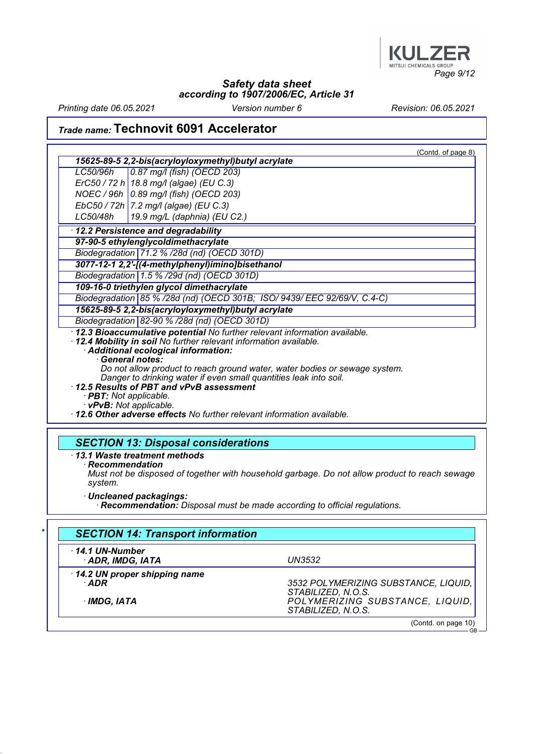

Printing date 06.05.2021 Version number 6 Revision: 06.05.2021

## Trade name: Technovit 6091 Accelerator

|                        |                                                                                                                                                 | (Contd. of page 8) |
|------------------------|-------------------------------------------------------------------------------------------------------------------------------------------------|--------------------|
|                        | 15625-89-5 2,2-bis(acryloyloxymethyl)butyl acrylate                                                                                             |                    |
| LC50/96h               | 0.87 mg/l (fish) (OECD 203)                                                                                                                     |                    |
|                        | $E r C 50 / 72 h$ 18.8 mg/l (algae) (EU C.3)                                                                                                    |                    |
|                        | NOEC / 96h   0.89 mg/l (fish) (OECD 203)                                                                                                        |                    |
|                        | EbC50 / 72h   7.2 mg/l (algae) (EU C.3)                                                                                                         |                    |
| LC50/48h               | 19.9 mg/L (daphnia) (EU C2.)                                                                                                                    |                    |
|                        | 12.2 Persistence and degradability                                                                                                              |                    |
|                        | 97-90-5 ethylenglycoldimethacrylate                                                                                                             |                    |
|                        | Biodegradation 71.2 % /28d (nd) (OECD 301D)                                                                                                     |                    |
|                        | 3077-12-1 2,2'-[(4-methylphenyl)imino]bisethanol                                                                                                |                    |
|                        | Biodegradation $1.5$ % /29d (nd) (OECD 301D)                                                                                                    |                    |
|                        | 109-16-0 triethylen glycol dimethacrylate                                                                                                       |                    |
|                        | Biodegradation 85 % /28d (nd) (OECD 301B; ISO/ 9439/ EEC 92/69/V, C.4-C)                                                                        |                    |
|                        | 15625-89-5 2,2-bis(acryloyloxymethyl)butyl acrylate                                                                                             |                    |
|                        | Biodegradation 82-90 % /28d (nd) (OECD 301D)                                                                                                    |                    |
|                        | · 12.3 Bioaccumulative potential No further relevant information available.                                                                     |                    |
|                        | 12.4 Mobility in soil No further relevant information available.                                                                                |                    |
|                        | Additional ecological information:                                                                                                              |                    |
|                        | · General notes:                                                                                                                                |                    |
|                        | Do not allow product to reach ground water, water bodies or sewage system.<br>Danger to drinking water if even small quantities leak into soil. |                    |
|                        | 12.5 Results of PBT and vPvB assessment                                                                                                         |                    |
| · PBT: Not applicable. |                                                                                                                                                 |                    |
|                        | · vPvB: Not applicable.                                                                                                                         |                    |
|                        | 12 6 Other eduction offects No further relevant information quailable                                                                           |                    |

· 12.6 Other adverse effects No further relevant information available.

### SECTION 13: Disposal considerations

· 13.1 Waste treatment methods

**Recommendation** 

Must not be disposed of together with household garbage. Do not allow product to reach sewage system.

· Uncleaned packagings:

· Recommendation: Disposal must be made according to official regulations.

| <b>SECTION 14: Transport information</b>    |                                                                             |
|---------------------------------------------|-----------------------------------------------------------------------------|
| 14.1 UN-Number<br>ADR, IMDG, IATA           | UN3532                                                                      |
| 14.2 UN proper shipping name<br>$\cdot$ ADR | 3532 POLYMERIZING SUBSTANCE, LIQUID,                                        |
| · IMDG, IATA                                | STABILIZED, N.O.S.<br>POLYMERIZING SUBSTANCE, LIQUID,<br>STABILIZED, N.O.S. |
|                                             | (Contd. on page 10)                                                         |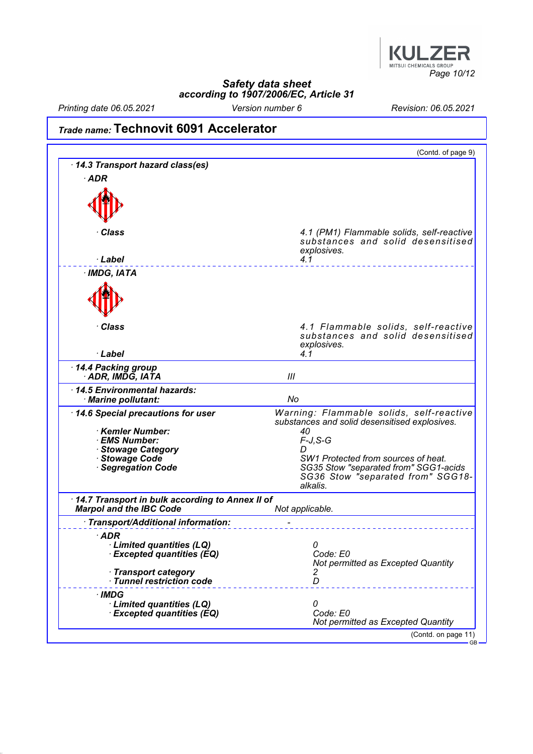

Printing date 06.05.2021 Version number 6 Revision: 06.05.2021

## Trade name: Technovit 6091 Accelerator

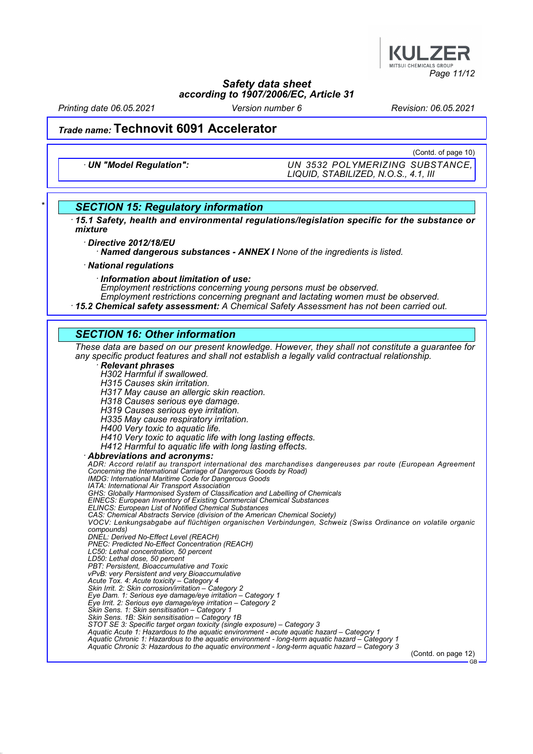

Printing date 06.05.2021 Version number 6 Revision: 06.05.2021

### Trade name: Technovit 6091 Accelerator

(Contd. of page 10)

· UN "Model Regulation": UN 3532 POLYMERIZING SUBSTANCE, LIQUID, STABILIZED, N.O.S., 4.1, III

### **SECTION 15: Regulatory information**

· 15.1 Safety, health and environmental regulations/legislation specific for the substance or mixture

Directive 2012/18/EU

· Named dangerous substances - ANNEX I None of the ingredients is listed.

· National regulations

· Information about limitation of use:

Employment restrictions concerning young persons must be observed.

Employment restrictions concerning pregnant and lactating women must be observed.

· 15.2 Chemical safety assessment: A Chemical Safety Assessment has not been carried out.

### SECTION 16: Other information

These data are based on our present knowledge. However, they shall not constitute a guarantee for any specific product features and shall not establish a legally valid contractual relationship.

#### · Relevant phrases

H302 Harmful if swallowed.

H315 Causes skin irritation. H317 May cause an allergic skin reaction.

H318 Causes serious eye damage.

H319 Causes serious eye irritation.

H335 May cause respiratory irritation.

H400 Very toxic to aquatic life.

H410 Very toxic to aquatic life with long lasting effects.

H412 Harmful to aquatic life with long lasting effects.

· Abbreviations and acronyms:

ADR: Accord relatif au transport international des marchandises dangereuses par route (European Agreement Concerning the International Carriage of Dangerous Goods by Road) IMDG: International Maritime Code for Dangerous Goods IATA: International Air Transport Association GHS: Globally Harmonised System of Classification and Labelling of Chemicals EINECS: European Inventory of Existing Commercial Chemical Substances ELINCS: European List of Notified Chemical Substances CAS: Chemical Abstracts Service (division of the American Chemical Society) VOCV: Lenkungsabgabe auf flüchtigen organischen Verbindungen, Schweiz (Swiss Ordinance on volatile organic compounds) DNEL: Derived No-Effect Level (REACH) PNEC: Predicted No-Effect Concentration (REACH) LC50: Lethal concentration, 50 percent LD50: Lethal dose, 50 percent PBT: Persistent, Bioaccumulative and Toxic vPvB: very Persistent and very Bioaccumulative Acute Tox. 4: Acute toxicity – Category 4 Skin Irrit. 2: Skin corrosion/irritation – Category 2 Eye Dam. 1: Serious eye damage/eye irritation – Category 1 Eye Irrit. 2: Serious eye damage/eye irritation – Category 2 Skin Sens. 1: Skin sensitisation – Category 1 Skin Sens. 1B: Skin sensitisation – Category 1B STOT SE 3: Specific target organ toxicity (single exposure) – Category 3 Aquatic Acute 1: Hazardous to the aquatic environment - acute aquatic hazard – Category 1 Aquatic Chronic 1: Hazardous to the aquatic environment - long-term aquatic hazard – Category 1 Aquatic Chronic 3: Hazardous to the aquatic environment - long-term aquatic hazard – Category 3

(Contd. on page 12) GB